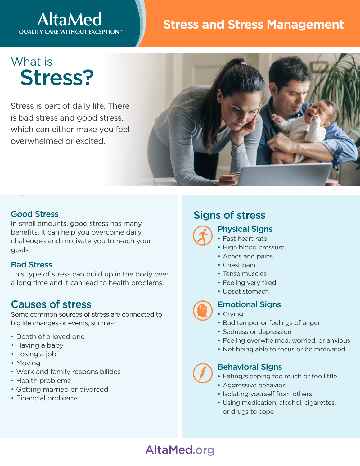## **AltaMed QUALITY CARE WITHOUT EXCEPTION™**

## Stress **Stress and Stress Management**

# What is Stress?

Stress is part of daily life. There is bad stress and good stress, which can either make you feel overwhelmed or excited.



#### Good Stress

 $\overline{\phantom{a}}$ 

In small amounts, good stress has many benefits. It can help you overcome daily challenges and motivate you to reach your goals.

#### Bad Stress

This type of stress can build up in the body over a long time and it can lead to health problems.

### Causes of stress

Some common sources of stress are connected to big life changes or events, such as:

- Death of a loved one
- Having a baby
- Losing a job
- Moving
- Work and family responsibilities
- Health problems
- Getting married or divorced
- Financial problems

## Signs of stress



- Physical Signs
- Fast heart rate
- High blood pressure
- Aches and pains
- Chest pain
- Tense muscles
- Feeling very tired
- Upset stomach



- Emotional Signs
- Crying
- Bad temper or feelings of anger
- Sadness or depression
- Feeling overwhelmed, worried, or anxious
- Not being able to focus or be motivated

#### Behavioral Signs

- Eating/sleeping too much or too little
- Aggressive behavior
- Isolating yourself from others
- Using medication, alcohol, cigarettes, or drugs to cope

## AltaMed.org